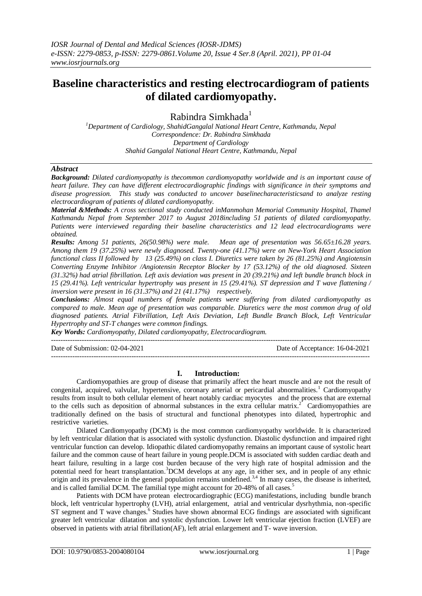# **Baseline characteristics and resting electrocardiogram of patients of dilated cardiomyopathy.**

Rabindra Simkhada $<sup>1</sup>$ </sup>

*<sup>1</sup>Department of Cardiology, ShahidGangalal National Heart Centre, Kathmandu, Nepal Correspondence: Dr. Rabindra Simkhada Department of Cardiology Shahid Gangalal National Heart Centre, Kathmandu, Nepal*

### *Abstract*

*Background: Dilated cardiomyopathy is thecommon cardiomyopathy worldwide and is an important cause of heart failure. They can have different electrocardiographic findings with significance in their symptoms and disease progression. This study was conducted to uncover baselinecharacteristicsand to analyze resting electrocardiogram of patients of dilated cardiomyopathy.*

*Material &Methods: A cross sectional study conducted inManmohan Memorial Community Hospital, Thamel Kathmandu Nepal from September 2017 to August 2018including 51 patients of dilated cardiomyopathy. Patients were interviewed regarding their baseline characteristics and 12 lead electrocardiograms were obtained.* 

*Results: Among 51 patients, 26(50.98%) were male. Mean age of presentation was 56.65±16.28 years. Among them 19 (37.25%) were newly diagnosed. Twenty-one (41.17%) were on New-York Heart Association functional class II followed by 13 (25.49%) on class I. Diuretics were taken by 26 (81.25%) and Angiotensin Converting Enzyme Inhibitor /Angiotensin Receptor Blocker by 17 (53.12%) of the old diagnosed. Sixteen (31.32%) had atrial fibrillation. Left axis deviation was present in 20 (39.21%) and left bundle branch block in 15 (29.41%). Left ventricular hypertrophy was present in 15 (29.41%). ST depression and T wave flattening / inversion were present in 16 (31.37%) and 21 (41.17%) respectively.*

*Conclusions: Almost equal numbers of female patients were suffering from dilated cardiomyopathy as compared to male. Mean age of presentation was comparable. Diuretics were the most common drug of old diagnosed patients. Atrial Fibrillation, Left Axis Deviation, Left Bundle Branch Block, Left Ventricular Hypertrophy and ST-T changes were common findings.*

*Key Words: Cardiomyopathy, Dilated cardiomyopathy, Electrocardiogram.*

---------------------------------------------------------------------------------------------------------------------------------------

Date of Submission: 02-04-2021 Date of Acceptance: 16-04-2021

## **I. Introduction:**

---------------------------------------------------------------------------------------------------------------------------------------

Cardiomyopathies are group of disease that primarily affect the heart muscle and are not the result of congenital, acquired, valvular, hypertensive, coronary arterial or pericardial abnormalities.<sup>1</sup> Cardiomyopathy results from insult to both cellular element of heart notably cardiac myocytes and the process that are external to the cells such as deposition of abnormal substances in the extra cellular matrix.<sup>2</sup> Cardiomyopathies are traditionally defined on the basis of structural and functional phenotypes into dilated, hypertrophic and restrictive varieties.

Dilated Cardiomyopathy (DCM) is the most common cardiomyopathy worldwide. It is characterized by left ventricular dilation that is associated with systolic dysfunction. Diastolic dysfunction and impaired right ventricular function can develop. Idiopathic dilated cardiomyopathy remains an important cause of systolic heart failure and the common cause of heart failure in young people.DCM is associated with sudden cardiac death and heart failure, resulting in a large cost burden because of the very high rate of hospital admission and the potential need for heart transplantation.<sup>3</sup>DCM develops at any age, in either sex, and in people of any ethnic origin and its prevalence in the general population remains undefined.<sup>3,4</sup> In many cases, the disease is inherited, and is called familial DCM. The familial type might account for 20-48% of all cases.<sup>5</sup>

Patients with DCM have protean electrocardiographic (ECG) manifestations, including bundle branch block, left ventricular hypertrophy (LVH), atrial enlargement, atrial and ventricular dysrhythmia, non-specific ST segment and T wave changes.<sup>6</sup> Studies have shown abnormal ECG findings are associated with significant greater left ventricular dilatation and systolic dysfunction. Lower left ventricular ejection fraction (LVEF) are observed in patients with atrial fibrillation(AF), left atrial enlargement and T- wave inversion.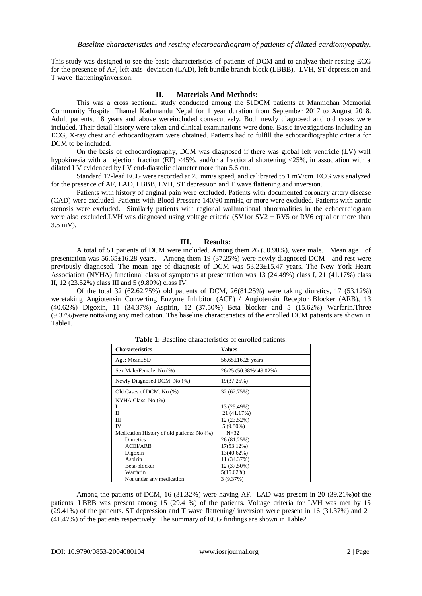This study was designed to see the basic characteristics of patients of DCM and to analyze their resting ECG for the presence of AF, left axis deviation (LAD), left bundle branch block (LBBB), LVH, ST depression and T wave flattening/inversion.

# **II. Materials And Methods:**

This was a cross sectional study conducted among the 51DCM patients at Manmohan Memorial Community Hospital Thamel Kathmandu Nepal for 1 year duration from September 2017 to August 2018. Adult patients, 18 years and above wereincluded consecutively. Both newly diagnosed and old cases were included. Their detail history were taken and clinical examinations were done. Basic investigations including an ECG, X-ray chest and echocardiogram were obtained. Patients had to fulfill the echocardiographic criteria for DCM to be included.

On the basis of echocardiography, DCM was diagnosed if there was global left ventricle (LV) wall hypokinesia with an ejection fraction (EF) <45%, and/or a fractional shortening <25%, in association with a dilated LV evidenced by LV end-diastolic diameter more than 5.6 cm.

Standard 12-lead ECG were recorded at 25 mm/s speed, and calibrated to 1 mV/cm. ECG was analyzed for the presence of AF, LAD, LBBB, LVH, ST depression and T wave flattening and inversion.

Patients with history of anginal pain were excluded. Patients with documented coronary artery disease (CAD) were excluded. Patients with Blood Pressure 140/90 mmHg or more were excluded. Patients with aortic stenosis were excluded. Similarly patients with regional wallmotional abnormalities in the echocardiogram were also excluded.LVH was diagnosed using voltage criteria (SV1or SV2 + RV5 or RV6 equal or more than 3.5 mV).

## **III. Results:**

A total of 51 patients of DCM were included. Among them 26 (50.98%), were male. Mean age of presentation was 56.65±16.28 years. Among them 19 (37.25%) were newly diagnosed DCM and rest were previously diagnosed. The mean age of diagnosis of DCM was 53.23±15.47 years. The New York Heart Association (NYHA) functional class of symptoms at presentation was 13 (24.49%) class I, 21 (41.17%) class II, 12 (23.52%) class III and 5 (9.80%) class IV.

Of the total 32 (62.62.75%) old patients of DCM, 26(81.25%) were taking diuretics, 17 (53.12%) weretaking Angiotensin Converting Enzyme Inhibitor (ACE) / Angiotensin Receptor Blocker (ARB), 13 (40.62%) Digoxin, 11 (34.37%) Aspirin, 12 (37.50%) Beta blocker and 5 (15.62%) Warfarin.Three (9.37%)were nottaking any medication. The baseline characteristics of the enrolled DCM patients are shown in Table1.

| <b>Characteristics</b>                     | <b>Values</b>           |
|--------------------------------------------|-------------------------|
| Age: Mean $\pm$ SD                         | $56.65 \pm 16.28$ years |
| Sex Male/Female: No (%)                    | 26/25 (50.98%/ 49.02%)  |
| Newly Diagnosed DCM: No (%)                | 19(37.25%)              |
| Old Cases of DCM: No (%)                   | 32 (62.75%)             |
| NYHA Class: No (%)                         |                         |
| Ш                                          | 13 (25.49%)             |
| Π                                          | 21 (41.17%)             |
| Ш                                          | 12 (23.52%)             |
| IV                                         | $5(9.80\%)$             |
| Medication History of old patients: No (%) | $N=32$                  |
| <b>Diuretics</b>                           | 26 (81.25%)             |
| <b>ACEI/ARB</b>                            | 17(53.12%)              |
| Digoxin                                    | 13(40.62%)              |
| Aspirin                                    | 11 (34.37%)             |
| Beta-blocker                               | 12 (37.50%)             |
| Warfarin                                   | 5(15.62%)               |
| Not under any medication                   | 3 (9.37%)               |

**Table 1:** Baseline characteristics of enrolled patients.

Among the patients of DCM, 16 (31.32%) were having AF. LAD was present in 20 (39.21%)of the patients. LBBB was present among 15 (29.41%) of the patients. Voltage criteria for LVH was met by 15 (29.41%) of the patients. ST depression and T wave flattening/ inversion were present in 16 (31.37%) and 21 (41.47%) of the patients respectively. The summary of ECG findings are shown in Table2.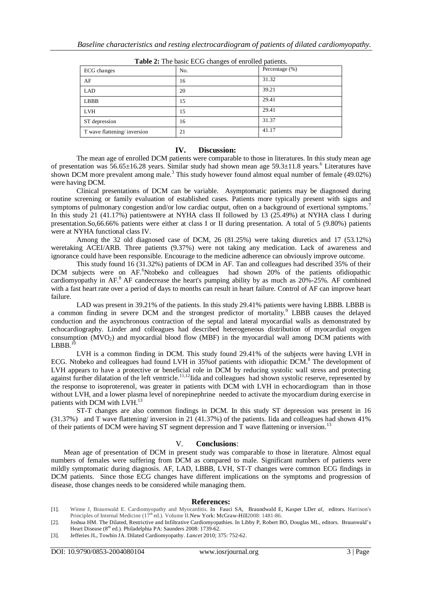| ----g--- -- ----- ---- - p---------- |     |                |
|--------------------------------------|-----|----------------|
| ECG changes                          | No. | Percentage (%) |
| AF                                   | 16  | 31.32          |
| <b>LAD</b>                           | 20  | 39.21          |
| <b>LBBB</b>                          | 15  | 29.41          |
| <b>LVH</b>                           | 15  | 29.41          |
| ST depression                        | 16  | 31.37          |
| T wave flattening/inversion          | 21  | 41.17          |

**Table 2:** The basic ECG changes of enrolled patients.

### **IV. Discussion:**

The mean age of enrolled DCM patients were comparable to those in literatures. In this study mean age of presentation was  $56.65\pm16.28$  years. Similar study had shown mean age  $59.3\pm11.8$  years.<sup>6</sup> Literatures have shown DCM more prevalent among male.<sup>3</sup> This study however found almost equal number of female (49.02%) were having DCM.

Clinical presentations of DCM can be variable. Asymptomatic patients may be diagnosed during routine screening or family evaluation of established cases. Patients more typically present with signs and symptoms of pulmonary congestion and/or low cardiac output, often on a background of exertional symptoms.<sup>7</sup> In this study 21 (41.17%) patientswere at NYHA class II followed by 13 (25.49%) at NYHA class I during presentation.So,66.66% patients were either at class I or II during presentation. A total of 5 (9.80%) patients were at NYHA functional class IV.

Among the 32 old diagnosed case of DCM, 26 (81.25%) were taking diuretics and 17 (53.12%) weretaking ACEI/ARB. Three patients (9.37%) were not taking any medication. Lack of awareness and ignorance could have been responsible. Encourage to the medicine adherence can obviously improve outcome.

This study found 16 (31.32%) patients of DCM in AF. Tan and colleagues had described 35% of their DCM subjects were on AF.<sup>6</sup>Ntobeko and colleagues had shown 20% of the patients ofidiopathic cardiomyopathy in  $AF^8$ . AF candecrease the heart's pumping ability by as much as 20%-25%. AF combined with a fast heart rate over a period of days to months can result in heart failure. Control of AF can improve heart failure.

LAD was present in 39.21% of the patients. In this study 29.41% patients were having LBBB. LBBB is a common finding in severe DCM and the strongest predictor of mortality.<sup>9</sup> LBBB causes the delayed conduction and the asynchronous contraction of the septal and lateral myocardial walls as demonstrated by echocardiography. Linder and colleagues had described heterogeneous distribution of myocardial oxygen consumption  $(MVO<sub>2</sub>)$  and myocardial blood flow  $(MBF)$  in the myocardial wall among DCM patients with  $LBBB.10$ 

LVH is a common finding in DCM. This study found 29.41% of the subjects were having LVH in ECG. Ntobeko and colleagues had found LVH in 35% of patients with idiopathic DCM.<sup>8</sup> The development of LVH appears to have a protective or beneficial role in DCM by reducing systolic wall stress and protecting against further dilatation of the left ventricle.<sup>11,12</sup>Iida and colleagues had shown systolic reserve, represented by the response to isoproterenol, was greater in patients with DCM with LVH in echocardiogram than in those without LVH, and a lower plasma level of norepinephrine needed to activate the myocardium during exercise in patients with DCM with LVH.<sup>13</sup>

ST-T changes are also common findings in DCM. In this study ST depression was present in 16 (31.37%) and T wave flattening/ inversion in 21 (41.37%) of the patients. Iida and colleagues had shown 41% of their patients of DCM were having ST segment depression and T wave flattening or inversion.<sup>1</sup>

#### V. **Conclusions**:

Mean age of presentation of DCM in present study was comparable to those in literature. Almost equal numbers of females were suffering from DCM as compared to male. Significant numbers of patients were mildly symptomatic during diagnosis. AF, LAD, LBBB, LVH, ST-T changes were common ECG findings in DCM patients. Since those ECG changes have different implications on the symptoms and progression of disease, those changes needs to be considered while managing them.

#### **References:**

- [1]. Winne J, Braunwald E. Cardiomyopathy and Myocarditis. In Fauci SA, Braundwald E, Kasper LDet al, editors. Harrison's Principles of Internal Medicine (17<sup>th</sup> ed.). Volume II.New York: McGraw-Hill2008: 1481-86.
- [2]. Joshua HM. The Dilated, Restrictive and Infiltrative Cardiomyopathies. In Libby P, Robert BO, Douglas ML, editors. Braunwald's Heart Disease (8<sup>th</sup> ed.). Philadelphia PA: Saunders 2008: 1739-62.
- [3]. Jefferies JL, Towbin JA. Dilated Cardiomyopathy. *Lancet* 2010; 375: 752-62.